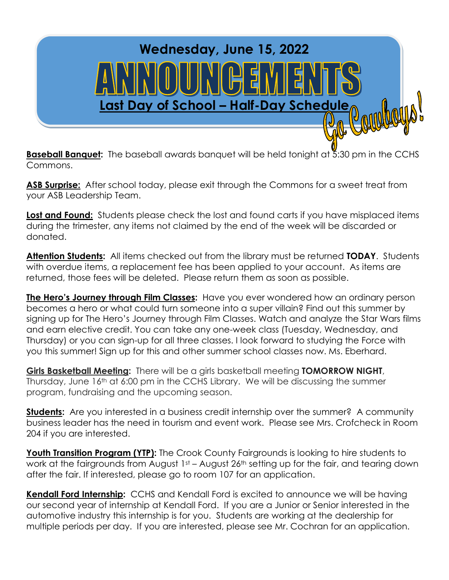

**Baseball Banquet:** The baseball awards banquet will be held tonight at 5:30 pm in the CCHS Commons.

**ASB Surprise:** After school today, please exit through the Commons for a sweet treat from your ASB Leadership Team.

Lost and Found: Students please check the lost and found carts if you have misplaced items during the trimester, any items not claimed by the end of the week will be discarded or donated.

**Attention Students:** All items checked out from the library must be returned **TODAY**. Students with overdue items, a replacement fee has been applied to your account. As items are returned, those fees will be deleted. Please return them as soon as possible.

**The Hero's Journey through Film Classes:** Have you ever wondered how an ordinary person becomes a hero or what could turn someone into a super villain? Find out this summer by signing up for The Hero's Journey through Film Classes. Watch and analyze the Star Wars films and earn elective credit. You can take any one-week class (Tuesday, Wednesday, and Thursday) or you can sign-up for all three classes. I look forward to studying the Force with you this summer! Sign up for this and other summer school classes now. Ms. Eberhard.

**Girls Basketball Meeting:** There will be a girls basketball meeting **TOMORROW NIGHT**, Thursday, June 16<sup>th</sup> at 6:00 pm in the CCHS Library. We will be discussing the summer program, fundraising and the upcoming season.

**Students:** Are you interested in a business credit internship over the summer? A community business leader has the need in tourism and event work. Please see Mrs. Crofcheck in Room 204 if you are interested.

**Youth Transition Program (YTP):** The Crook County Fairgrounds is looking to hire students to work at the fairgrounds from August 1st – August 26<sup>th</sup> setting up for the fair, and tearing down after the fair. If interested, please go to room 107 for an application.

**Kendall Ford Internship:** CCHS and Kendall Ford is excited to announce we will be having our second year of internship at Kendall Ford. If you are a Junior or Senior interested in the automotive industry this internship is for you. Students are working at the dealership for multiple periods per day. If you are interested, please see Mr. Cochran for an application.